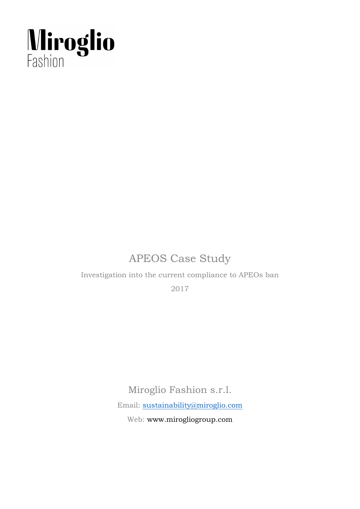

## APEOS Case Study

Investigation into the current compliance to APEOs ban

2017

Miroglio Fashion s.r.l.

Email: [sustainability@miroglio.com](mailto:sustainability@miroglio.com)

Web: www.mirogliogroup.com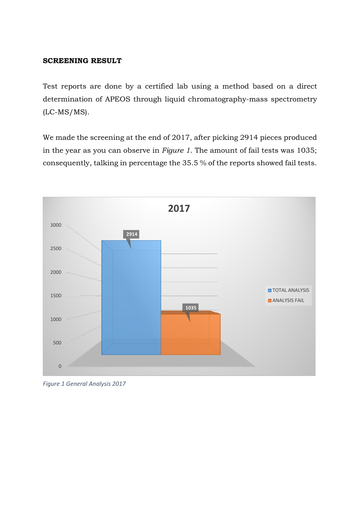## **SCREENING RESULT**

Test reports are done by a certified lab using a method based on a direct determination of APEOS through liquid chromatography-mass spectrometry (LC-MS/MS).

We made the screening at the end of 2017, after picking 2914 pieces produced in the year as you can observe in *Figure 1*. The amount of fail tests was 1035; consequently, talking in percentage the 35.5 % of the reports showed fail tests.



*Figure 1 General Analysis 2017*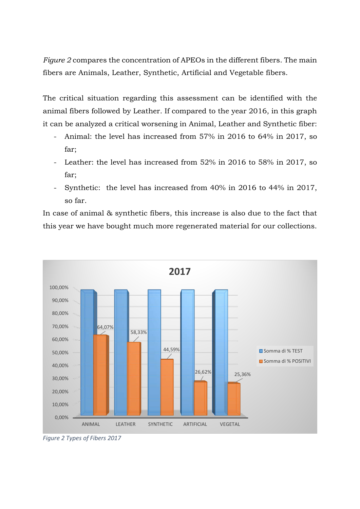*Figure 2* compares the concentration of APEOs in the different fibers. The main fibers are Animals, Leather, Synthetic, Artificial and Vegetable fibers.

The critical situation regarding this assessment can be identified with the animal fibers followed by Leather. If compared to the year 2016, in this graph it can be analyzed a critical worsening in Animal, Leather and Synthetic fiber:

- Animal: the level has increased from 57% in 2016 to 64% in 2017, so far;
- Leather: the level has increased from 52% in 2016 to 58% in 2017, so far;
- Synthetic: the level has increased from 40% in 2016 to 44% in 2017, so far.

In case of animal & synthetic fibers, this increase is also due to the fact that this year we have bought much more regenerated material for our collections.



*Figure 2 Types of Fibers 2017*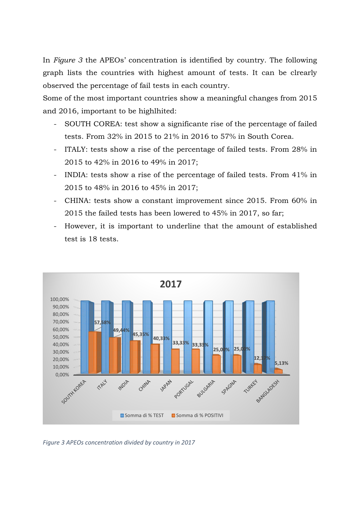In *Figure 3* the APEOs' concentration is identified by country. The following graph lists the countries with highest amount of tests. It can be clrearly observed the percentage of fail tests in each country.

Some of the most important countries show a meaningful changes from 2015 and 2016, important to be highlhited:

- SOUTH COREA: test show a significante rise of the percentage of failed tests. From 32% in 2015 to 21% in 2016 to 57% in South Corea.
- ITALY: tests show a rise of the percentage of failed tests. From 28% in 2015 to 42% in 2016 to 49% in 2017;
- INDIA: tests show a rise of the percentage of failed tests. From 41% in 2015 to 48% in 2016 to 45% in 2017;
- CHINA: tests show a constant improvement since 2015. From 60% in 2015 the failed tests has been lowered to 45% in 2017, so far;
- However, it is important to underline that the amount of established test is 18 tests.



*Figure 3 APEOs concentration divided by country in 2017*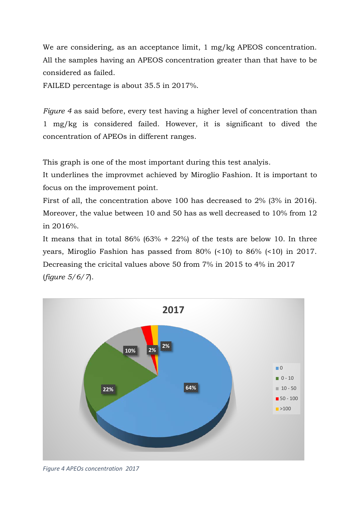We are considering, as an acceptance limit, 1 mg/kg APEOS concentration. All the samples having an APEOS concentration greater than that have to be considered as failed.

FAILED percentage is about 35.5 in 2017%.

*Figure 4* as said before, every test having a higher level of concentration than 1 mg/kg is considered failed. However, it is significant to dived the concentration of APEOs in different ranges.

This graph is one of the most important during this test analyis.

It underlines the improvmet achieved by Miroglio Fashion. It is important to focus on the improvement point.

First of all, the concentration above 100 has decreased to 2% (3% in 2016). Moreover, the value between 10 and 50 has as well decreased to 10% from 12 in 2016%.

It means that in total  $86\%$  ( $63\%$  +  $22\%$ ) of the tests are below 10. In three years, Miroglio Fashion has passed from 80% (<10) to 86% (<10) in 2017. Decreasing the cricital values above 50 from 7% in 2015 to 4% in 2017 (*figure 5/6/7*).



*Figure 4 APEOs concentration 2017*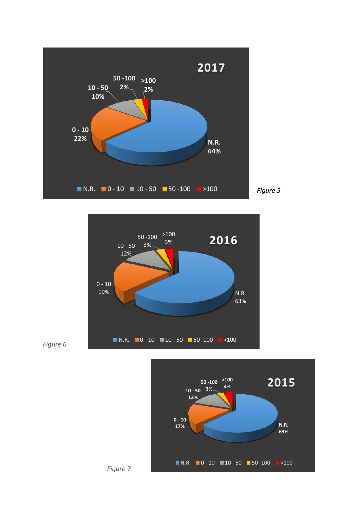